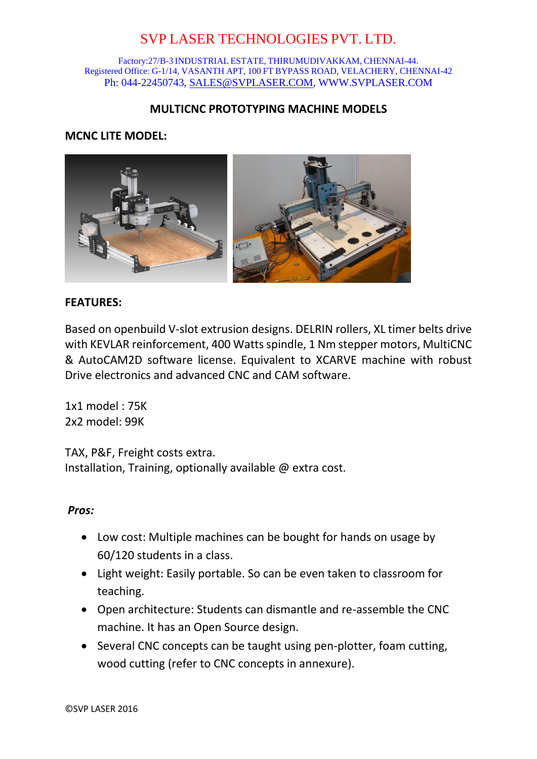Factory:27/B-3 INDUSTRIAL ESTATE, THIRUMUDIVAKKAM, CHENNAI-44. Registered Office: G-1/14, VASANTH APT, 100 FT BYPASS ROAD, VELACHERY, CHENNAI-42 Ph: 044-22450743, [SALES@SVPLASER.COM,](mailto:SALES@SVPLASER.COM) [WWW.SVPLASER.COM](http://www.svplaser.com/)

## **MULTICNC PROTOTYPING MACHINE MODELS**

## **MCNC LITE MODEL:**



## **FEATURES:**

Based on openbuild V-slot extrusion designs. DELRIN rollers, XL timer belts drive with KEVLAR reinforcement, 400 Watts spindle, 1 Nm stepper motors, MultiCNC & AutoCAM2D software license. Equivalent to XCARVE machine with robust Drive electronics and advanced CNC and CAM software.

1x1 model : 75K 2x2 model: 99K

TAX, P&F, Freight costs extra. Installation, Training, optionally available @ extra cost.

## *Pros:*

- Low cost: Multiple machines can be bought for hands on usage by 60/120 students in a class.
- Light weight: Easily portable. So can be even taken to classroom for teaching.
- Open architecture: Students can dismantle and re-assemble the CNC machine. It has an Open Source design.
- Several CNC concepts can be taught using pen-plotter, foam cutting, wood cutting (refer to CNC concepts in annexure).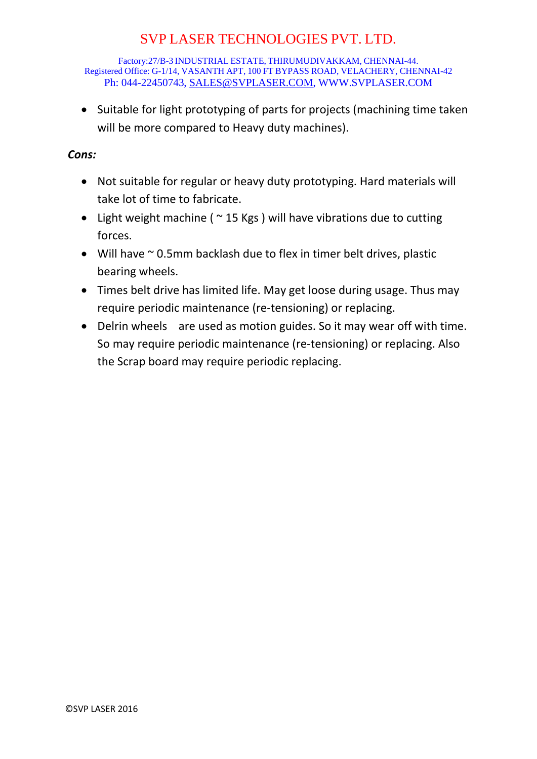#### Factory:27/B-3 INDUSTRIAL ESTATE, THIRUMUDIVAKKAM, CHENNAI-44. Registered Office: G-1/14, VASANTH APT, 100 FT BYPASS ROAD, VELACHERY, CHENNAI-42 Ph: 044-22450743, [SALES@SVPLASER.COM,](mailto:SALES@SVPLASER.COM) [WWW.SVPLASER.COM](http://www.svplaser.com/)

• Suitable for light prototyping of parts for projects (machining time taken will be more compared to Heavy duty machines).

## *Cons:*

- Not suitable for regular or heavy duty prototyping. Hard materials will take lot of time to fabricate.
- Light weight machine ( $\sim$  15 Kgs) will have vibrations due to cutting forces.
- $\bullet$  Will have  $\sim$  0.5mm backlash due to flex in timer belt drives, plastic bearing wheels.
- Times belt drive has limited life. May get loose during usage. Thus may require periodic maintenance (re-tensioning) or replacing.
- Delrin wheels are used as motion guides. So it may wear off with time. So may require periodic maintenance (re-tensioning) or replacing. Also the Scrap board may require periodic replacing.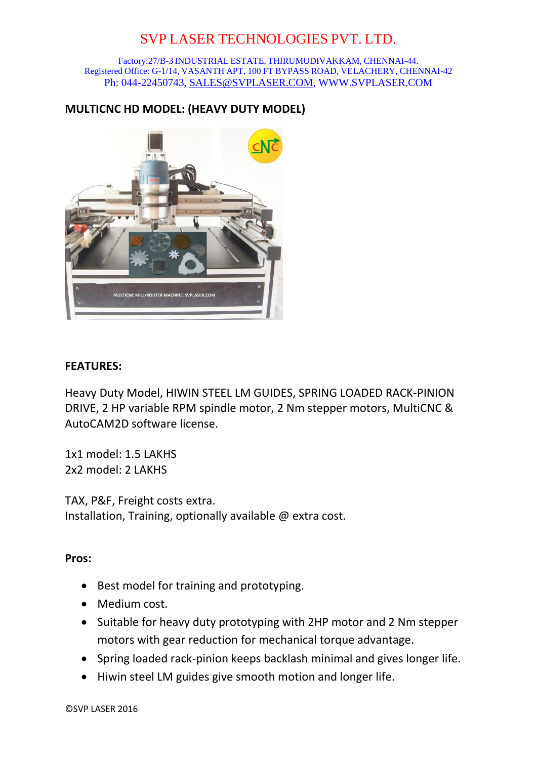Factory:27/B-3 INDUSTRIAL ESTATE, THIRUMUDIVAKKAM, CHENNAI-44. Registered Office: G-1/14, VASANTH APT, 100 FT BYPASS ROAD, VELACHERY, CHENNAI-42 Ph: 044-22450743, [SALES@SVPLASER.COM,](mailto:SALES@SVPLASER.COM) [WWW.SVPLASER.COM](http://www.svplaser.com/)

## **MULTICNC HD MODEL: (HEAVY DUTY MODEL)**



## **FEATURES:**

Heavy Duty Model, HIWIN STEEL LM GUIDES, SPRING LOADED RACK-PINION DRIVE, 2 HP variable RPM spindle motor, 2 Nm stepper motors, MultiCNC & AutoCAM2D software license.

1x1 model: 1.5 LAKHS 2x2 model: 2 LAKHS

TAX, P&F, Freight costs extra. Installation, Training, optionally available @ extra cost.

### **Pros:**

- Best model for training and prototyping.
- Medium cost.
- Suitable for heavy duty prototyping with 2HP motor and 2 Nm stepper motors with gear reduction for mechanical torque advantage.
- Spring loaded rack-pinion keeps backlash minimal and gives longer life.
- Hiwin steel LM guides give smooth motion and longer life.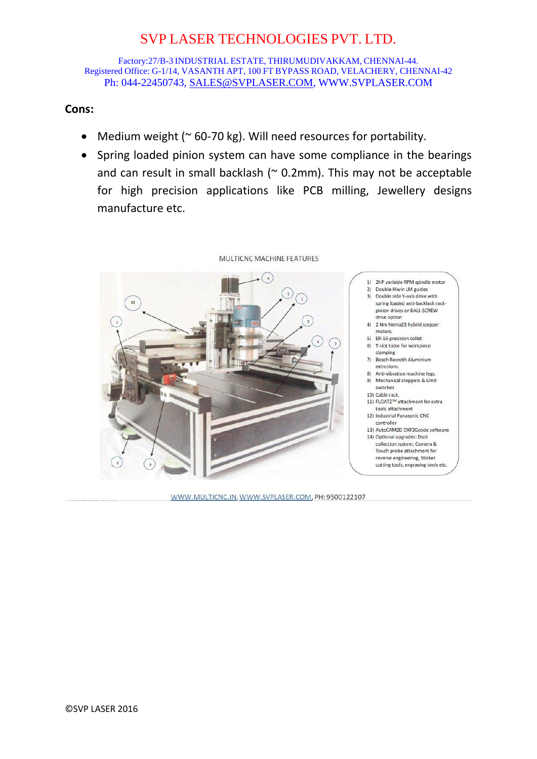#### Factory:27/B-3 INDUSTRIAL ESTATE, THIRUMUDIVAKKAM, CHENNAI-44. Registered Office: G-1/14, VASANTH APT, 100 FT BYPASS ROAD, VELACHERY, CHENNAI-42 Ph: 044-22450743, [SALES@SVPLASER.COM,](mailto:SALES@SVPLASER.COM) [WWW.SVPLASER.COM](http://www.svplaser.com/)

## **Cons:**

- Medium weight ( $\approx$  60-70 kg). Will need resources for portability.
- Spring loaded pinion system can have some compliance in the bearings and can result in small backlash ( $\sim$  0.2mm). This may not be acceptable for high precision applications like PCB milling, Jewellery designs manufacture etc.



MULTICNC MACHINE FEATURES

WWW.MULTICNC.IN, WWW.SVPLASER.COM, PH: 9500122107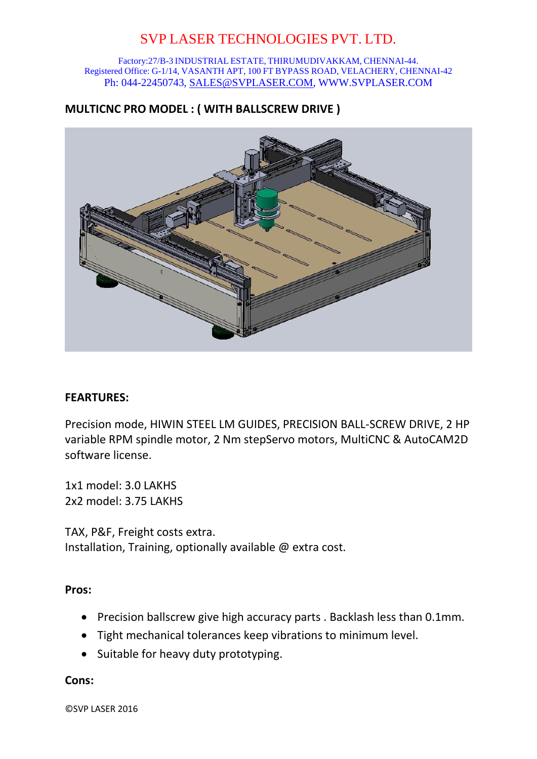Factory:27/B-3 INDUSTRIAL ESTATE, THIRUMUDIVAKKAM, CHENNAI-44. Registered Office: G-1/14, VASANTH APT, 100 FT BYPASS ROAD, VELACHERY, CHENNAI-42 Ph: 044-22450743, [SALES@SVPLASER.COM,](mailto:SALES@SVPLASER.COM) [WWW.SVPLASER.COM](http://www.svplaser.com/)

## **MULTICNC PRO MODEL : ( WITH BALLSCREW DRIVE )**



### **FEARTURES:**

Precision mode, HIWIN STEEL LM GUIDES, PRECISION BALL-SCREW DRIVE, 2 HP variable RPM spindle motor, 2 Nm stepServo motors, MultiCNC & AutoCAM2D software license.

1x1 model: 3.0 LAKHS 2x2 model: 3.75 LAKHS

TAX, P&F, Freight costs extra. Installation, Training, optionally available @ extra cost.

### **Pros:**

- Precision ballscrew give high accuracy parts . Backlash less than 0.1mm.
- Tight mechanical tolerances keep vibrations to minimum level.
- Suitable for heavy duty prototyping.

### **Cons:**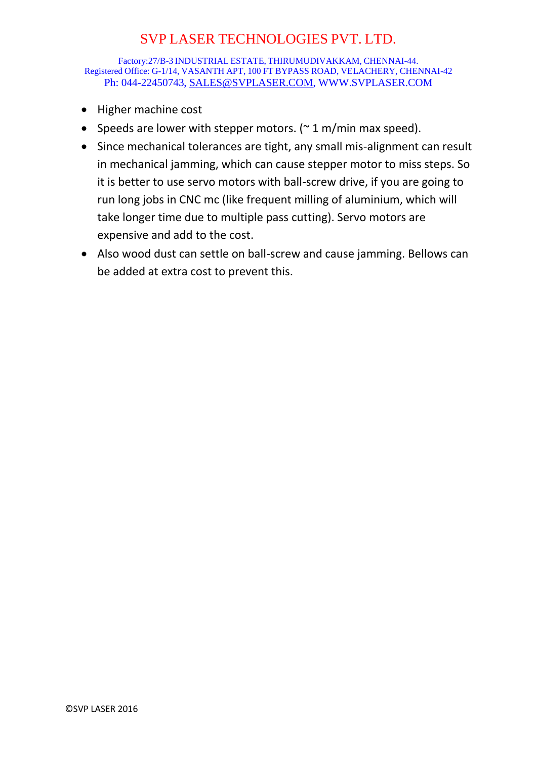#### Factory:27/B-3 INDUSTRIAL ESTATE, THIRUMUDIVAKKAM, CHENNAI-44. Registered Office: G-1/14, VASANTH APT, 100 FT BYPASS ROAD, VELACHERY, CHENNAI-42 Ph: 044-22450743, [SALES@SVPLASER.COM,](mailto:SALES@SVPLASER.COM) [WWW.SVPLASER.COM](http://www.svplaser.com/)

- Higher machine cost
- Speeds are lower with stepper motors. ( $\approx$  1 m/min max speed).
- Since mechanical tolerances are tight, any small mis-alignment can result in mechanical jamming, which can cause stepper motor to miss steps. So it is better to use servo motors with ball-screw drive, if you are going to run long jobs in CNC mc (like frequent milling of aluminium, which will take longer time due to multiple pass cutting). Servo motors are expensive and add to the cost.
- Also wood dust can settle on ball-screw and cause jamming. Bellows can be added at extra cost to prevent this.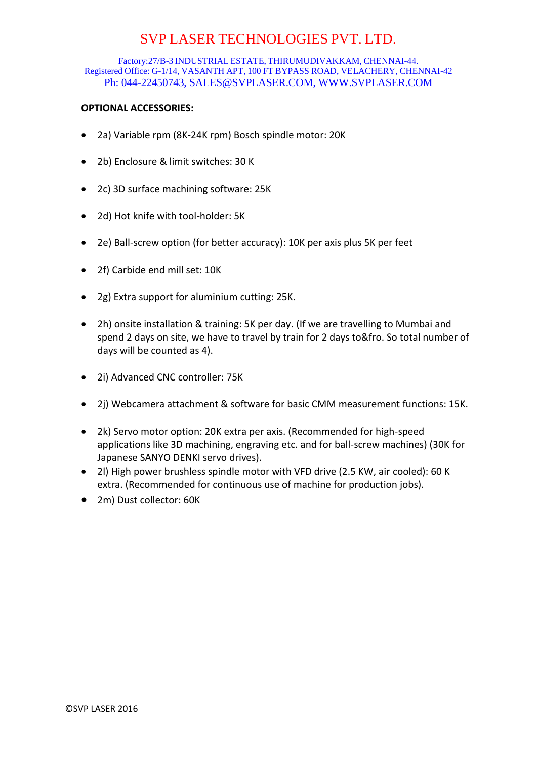#### Factory:27/B-3 INDUSTRIAL ESTATE, THIRUMUDIVAKKAM, CHENNAI-44. Registered Office: G-1/14, VASANTH APT, 100 FT BYPASS ROAD, VELACHERY, CHENNAI-42 Ph: 044-22450743, [SALES@SVPLASER.COM,](mailto:SALES@SVPLASER.COM) [WWW.SVPLASER.COM](http://www.svplaser.com/)

### **OPTIONAL ACCESSORIES:**

- 2a) Variable rpm (8K-24K rpm) Bosch spindle motor: 20K
- 2b) Enclosure & limit switches: 30 K
- 2c) 3D surface machining software: 25K
- 2d) Hot knife with tool-holder: 5K
- 2e) Ball-screw option (for better accuracy): 10K per axis plus 5K per feet
- 2f) Carbide end mill set: 10K
- 2g) Extra support for aluminium cutting: 25K.
- 2h) onsite installation & training: 5K per day. (If we are travelling to Mumbai and spend 2 days on site, we have to travel by train for 2 days to&fro. So total number of days will be counted as 4).
- 2i) Advanced CNC controller: 75K
- 2j) Webcamera attachment & software for basic CMM measurement functions: 15K.
- 2k) Servo motor option: 20K extra per axis. (Recommended for high-speed applications like 3D machining, engraving etc. and for ball-screw machines) (30K for Japanese SANYO DENKI servo drives).
- 2l) High power brushless spindle motor with VFD drive (2.5 KW, air cooled): 60 K extra. (Recommended for continuous use of machine for production jobs).
- 2m) Dust collector: 60K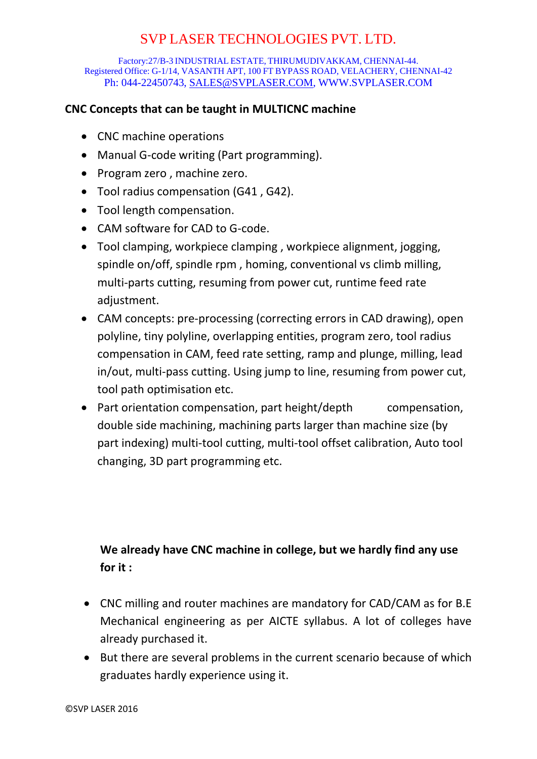#### Factory:27/B-3 INDUSTRIAL ESTATE, THIRUMUDIVAKKAM, CHENNAI-44. Registered Office: G-1/14, VASANTH APT, 100 FT BYPASS ROAD, VELACHERY, CHENNAI-42 Ph: 044-22450743, [SALES@SVPLASER.COM,](mailto:SALES@SVPLASER.COM) [WWW.SVPLASER.COM](http://www.svplaser.com/)

## **CNC Concepts that can be taught in MULTICNC machine**

- CNC machine operations
- Manual G-code writing (Part programming).
- Program zero, machine zero.
- Tool radius compensation (G41, G42).
- Tool length compensation.
- CAM software for CAD to G-code.
- Tool clamping, workpiece clamping , workpiece alignment, jogging, spindle on/off, spindle rpm , homing, conventional vs climb milling, multi-parts cutting, resuming from power cut, runtime feed rate adjustment.
- CAM concepts: pre-processing (correcting errors in CAD drawing), open polyline, tiny polyline, overlapping entities, program zero, tool radius compensation in CAM, feed rate setting, ramp and plunge, milling, lead in/out, multi-pass cutting. Using jump to line, resuming from power cut, tool path optimisation etc.
- Part orientation compensation, part height/depth compensation, double side machining, machining parts larger than machine size (by part indexing) multi-tool cutting, multi-tool offset calibration, Auto tool changing, 3D part programming etc.

# **We already have CNC machine in college, but we hardly find any use for it :**

- CNC milling and router machines are mandatory for CAD/CAM as for B.E Mechanical engineering as per AICTE syllabus. A lot of colleges have already purchased it.
- But there are several problems in the current scenario because of which graduates hardly experience using it.